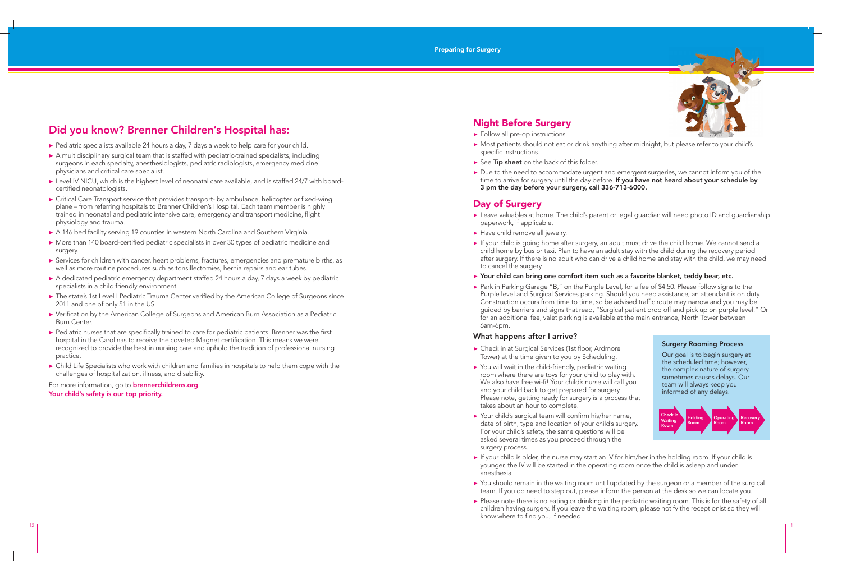

▶ Most patients should not eat or drink anything after midnight, but please refer to your child's

# **Did you know? Brenner Children's Hospital has:**

- ▶ Pediatric specialists available 24 hours a day, 7 days a week to help care for your child.
- ▶ A multidisciplinary surgical team that is staffed with pediatric-trained specialists, including surgeons in each specialty, anesthesiologists, pediatric radiologists, emergency medicine physicians and critical care specialist.
- ▶ Level IV NICU, which is the highest level of neonatal care available, and is staffed 24/7 with boardcertified neonatologists.
- ▶ Critical Care Transport service that provides transport- by ambulance, helicopter or fixed-wing plane – from referring hospitals to Brenner Children's Hospital. Each team member is highly trained in neonatal and pediatric intensive care, emergency and transport medicine, flight physiology and trauma.
- ▶ A 146 bed facility serving 19 counties in western North Carolina and Southern Virginia.
- ▶ More than 140 board-certified pediatric specialists in over 30 types of pediatric medicine and surgery.
- ▶ Services for children with cancer, heart problems, fractures, emergencies and premature births, as well as more routine procedures such as tonsillectomies, hernia repairs and ear tubes.
- ▶ A dedicated pediatric emergency department staffed 24 hours a day, 7 days a week by pediatric specialists in a child friendly environment.
- ▶ The state's 1st Level I Pediatric Trauma Center verified by the American College of Surgeons since 2011 and one of only 51 in the US.
- ▶ Verification by the American College of Surgeons and American Burn Association as a Pediatric Burn Center.
- ▶ Pediatric nurses that are specifically trained to care for pediatric patients. Brenner was the first hospital in the Carolinas to receive the coveted Magnet certification. This means we were recognized to provide the best in nursing care and uphold the tradition of professional nursing practice.
- ▶ Child Life Specialists who work with children and families in hospitals to help them cope with the challenges of hospitalization, illness, and disability.

▶ Due to the need to accommodate urgent and emergent surgeries, we cannot inform you of the time to arrive for surgery until the day before. **If you have not heard about your schedule by** 

▶ Leave valuables at home. The child's parent or legal guardian will need photo ID and guardianship

- ▶ Follow all pre-op instructions.
- specific instructions.
- ▶ See **Tip sheet** on the back of this folder.
- **3 pm the day before your surgery, call 336-713-6000.**

▶ If your child is going home after surgery, an adult must drive the child home. We cannot send a child home by bus or taxi. Plan to have an adult stay with the child during the recovery period after surgery. If there is no adult who can drive a child home and stay with the child, we may need

### ▶ Your child can bring one comfort item such as a favorite blanket, teddy bear, etc.

▶ Park in Parking Garage "B," on the Purple Level, for a fee of \$4.50. Please follow signs to the Purple level and Surgical Services parking. Should you need assistance, an attendant is on duty. Construction occurs from time to time, so be advised traffic route may narrow and you may be guided by barriers and signs that read, "Surgical patient drop off and pick up on purple level." Or for an additional fee, valet parking is available at the main entrance, North Tower between

For more information, go to **brennerchildrens.org Your child's safety is our top priority.** 

# **Night Before Surgery**

▶ If your child is older, the nurse may start an IV for him/her in the holding room. If your child is younger, the IV will be started in the operating room once the child is asleep and under

▶ You should remain in the waiting room until updated by the surgeon or a member of the surgical team. If you do need to step out, please inform the person at the desk so we can locate you. ▶ Please note there is no eating or drinking in the pediatric waiting room. This is for the safety of all children having surgery. If you leave the waiting room, please notify the receptionist so they will

# **Day of Surgery**

- paperwork, if applicable.
- ▶ Have child remove all jewelry.
- to cancel the surgery.
- 
- 6am-6pm.

### **What happens after I arrive?**

- ▶ Check in at Surgical Services (1st floor, Ardmore Tower) at the time given to you by Scheduling.
- ▶ You will wait in the child-friendly, pediatric waiting room where there are toys for your child to play with. We also have free wi-fi! Your child's nurse will call you and your child back to get prepared for surgery. Please note, getting ready for surgery is a process that takes about an hour to complete.
- $\blacktriangleright$  Your child's surgical team will confirm his/her name, date of birth, type and location of your child's surgery. For your child's safety, the same questions will be asked several times as you proceed through the surgery process.
- anesthesia.
- 
- know where to find you, if needed.

# **Surgery Rooming Process**

Our goal is to begin surgery at the scheduled time; however, the complex nature of surgery sometimes causes delays. Our team will always keep you informed of any delays.

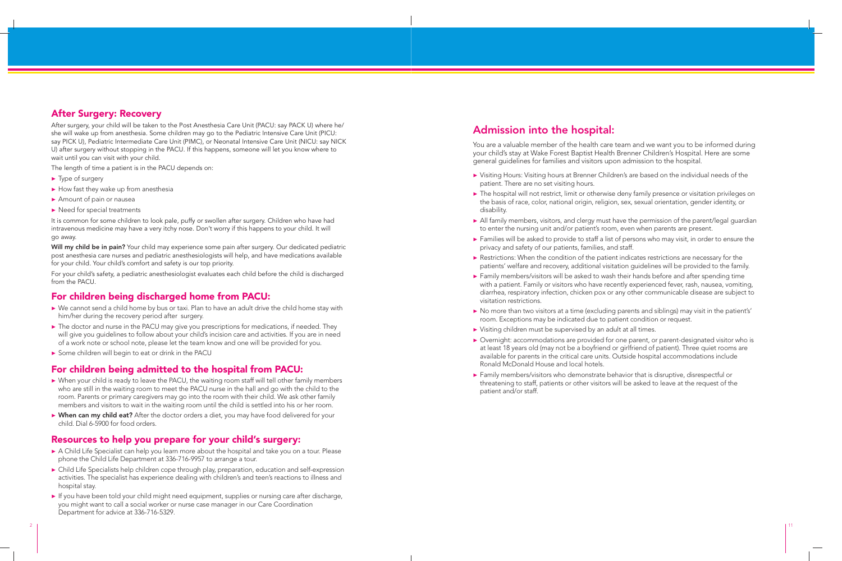▶ Visiting Hours: Visiting hours at Brenner Children's are based on the individual needs of the

# **After Surgery: Recovery**

After surgery, your child will be taken to the Post Anesthesia Care Unit (PACU: say PACK U) where he/ she will wake up from anesthesia. Some children may go to the Pediatric Intensive Care Unit (PICU: say PICK U), Pediatric Intermediate Care Unit (PIMC), or Neonatal Intensive Care Unit (NICU: say NICK U) after surgery without stopping in the PACU. If this happens, someone will let you know where to wait until you can visit with your child.

- ▶ Type of surgery
- $\blacktriangleright$  How fast they wake up from anesthesia
- ▶ Amount of pain or nausea
- ▶ Need for special treatments

The length of time a patient is in the PACU depends on:

It is common for some children to look pale, puffy or swollen after surgery. Children who have had intravenous medicine may have a very itchy nose. Don't worry if this happens to your child. It will go away.

**Will my child be in pain?** Your child may experience some pain after surgery. Our dedicated pediatric post anesthesia care nurses and pediatric anesthesiologists will help, and have medications available for your child. Your child's comfort and safety is our top priority.

- ▶ When your child is ready to leave the PACU, the waiting room staff will tell other family members who are still in the waiting room to meet the PACU nurse in the hall and go with the child to the room. Parents or primary caregivers may go into the room with their child. We ask other family members and visitors to wait in the waiting room until the child is settled into his or her room.
- ▶ When can my child eat? After the doctor orders a diet, you may have food delivered for your child. Dial 6-5900 for food orders.

For your child's safety, a pediatric anesthesiologist evaluates each child before the child is discharged from the PACU.

# **For children being discharged home from PACU:**

- ▶ We cannot send a child home by bus or taxi. Plan to have an adult drive the child home stay with him/her during the recovery period after surgery.
- ▶ The doctor and nurse in the PACU may give you prescriptions for medications, if needed. They will give you guidelines to follow about your child's incision care and activities. If you are in need of a work note or school note, please let the team know and one will be provided for you.
- ▶ Some children will begin to eat or drink in the PACU

- ▶ A Child Life Specialist can help you learn more about the hospital and take you on a tour. Please phone the Child Life Department at 336-716-9957 to arrange a tour.
- ▶ Child Life Specialists help children cope through play, preparation, education and self-expression activities. The specialist has experience dealing with children's and teen's reactions to illness and hospital stay.
- ▶ If you have been told your child might need equipment, supplies or nursing care after discharge, you might want to call a social worker or nurse case manager in our Care Coordination Department for advice at 336-716-5329.

# **For children being admitted to the hospital from PACU:**

▶ The hospital will not restrict, limit or otherwise deny family presence or visitation privileges on the basis of race, color, national origin, religion, sex, sexual orientation, gender identity, or

▶ All family members, visitors, and clergy must have the permission of the parent/legal guardian to enter the nursing unit and/or patient's room, even when parents are present.

▶ Families will be asked to provide to staff a list of persons who may visit, in order to ensure the

▶ Restrictions: When the condition of the patient indicates restrictions are necessary for the patients' welfare and recovery, additional visitation guidelines will be provided to the family.

▶ Family members/visitors will be asked to wash their hands before and after spending time with a patient. Family or visitors who have recently experienced fever, rash, nausea, vomiting, diarrhea, respiratory infection, chicken pox or any other communicable disease are subject to

# **Resources to help you prepare for your child's surgery:**

▶ Overnight: accommodations are provided for one parent, or parent-designated visitor who is at least 18 years old (may not be a boyfriend or girlfriend of patient). Three quiet rooms are available for parents in the critical care units. Outside hospital accommodations include

▶ Family members/visitors who demonstrate behavior that is disruptive, disrespectful or threatening to staff, patients or other visitors will be asked to leave at the request of the

# **Admission into the hospital:**

You are a valuable member of the health care team and we want you to be informed during your child's stay at Wake Forest Baptist Health Brenner Children's Hospital. Here are some general guidelines for families and visitors upon admission to the hospital.

- patient. There are no set visiting hours.
- disability.
- 
- privacy and safety of our patients, families, and staff.
- 
- visitation restrictions.
- 
- ▶ Visiting children must be supervised by an adult at all times.
- Ronald McDonald House and local hotels.
- patient and/or staff.

▶ No more than two visitors at a time (excluding parents and siblings) may visit in the patient's' room. Exceptions may be indicated due to patient condition or request.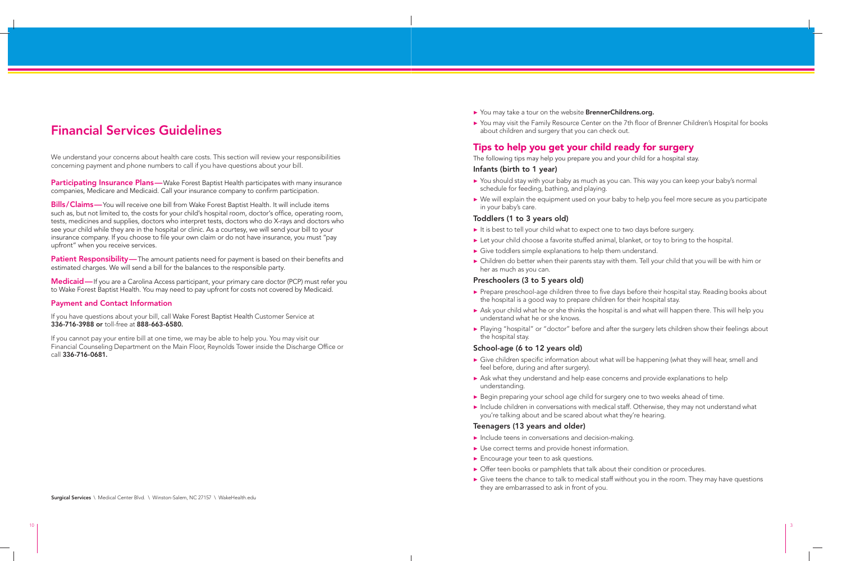▶ You may visit the Family Resource Center on the 7th floor of Brenner Children's Hospital for books

- ▶ Children do better when their parents stay with them. Tell your child that you will be with him or
- ▶ Ask your child what he or she thinks the hospital is and what will happen there. This will help you
- ▶ Playing "hospital" or "doctor" before and after the surgery lets children show their feelings about

- 
- 

We understand your concerns about health care costs. This section will review your responsibilities concerning payment and phone numbers to call if you have questions about your bill.

**Participating Insurance Plans**—Wake Forest Baptist Health participates with many insurance companies, Medicare and Medicaid. Call your insurance company to confirm participation.

**Patient Responsibility**— The amount patients need for payment is based on their benefits and estimated charges. We will send a bill for the balances to the responsible party.

**Bills / Claims —** You will receive one bill from Wake Forest Baptist Health. It will include items such as, but not limited to, the costs for your child's hospital room, doctor's office, operating room, tests, medicines and supplies, doctors who interpret tests, doctors who do X-rays and doctors who see your child while they are in the hospital or clinic. As a courtesy, we will send your bill to your insurance company. If you choose to file your own claim or do not have insurance, you must "pay upfront" when you receive services.

**Medicaid —** If you are a Carolina Access participant, your primary care doctor (PCP) must refer you to Wake Forest Baptist Health. You may need to pay upfront for costs not covered by Medicaid.

- ▶ You should stay with your baby as much as you can. This way you can keep your baby's normal schedule for feeding, bathing, and playing.
- ▶ We will explain the equipment used on your baby to help you feel more secure as you participate in your baby's care.

#### **Payment and Contact Information**

If you have questions about your bill, call Wake Forest Baptist Health Customer Service at **336-716-3988 or** toll-free at **888-663-6580.**

- ▶ It is best to tell your child what to expect one to two days before surgery.
- ▶ Let your child choose a favorite stuffed animal, blanket, or toy to bring to the hospital.
- ▶ Give toddlers simple explanations to help them understand.
- her as much as you can.

If you cannot pay your entire bill at one time, we may be able to help you. You may visit our Financial Counseling Department on the Main Floor, Reynolds Tower inside the Discharge Office or call **336-716-0681.**

- ▶ Prepare preschool-age children three to five days before their hospital stay. Reading books about the hospital is a good way to prepare children for their hospital stay.
- understand what he or she knows.
- the hospital stay.

# **Financial Services Guidelines**

**Surgical Services** \ Medical Center Blvd. \ Winston-Salem, NC 27157 \ WakeHealth.edu

▶ You may take a tour on the website **BrennerChildrens.org.**

- $\triangleright$  Give children specific information about what will be happening (what they will hear, smell and feel before, during and after surgery).
- ▶ Ask what they understand and help ease concerns and provide explanations to help understanding.
- ▶ Begin preparing your school age child for surgery one to two weeks ahead of time.
- ▶ Include children in conversations with medical staff. Otherwise, they may not understand what you're talking about and be scared about what they're hearing.

about children and surgery that you can check out.

# **Tips to help you get your child ready for surgery**

The following tips may help you prepare you and your child for a hospital stay. **Infants (birth to 1 year)**

# **Toddlers (1 to 3 years old)**

# **Preschoolers (3 to 5 years old)**

# **School-age (6 to 12 years old)**

# **Teenagers (13 years and older)**

- ▶ Include teens in conversations and decision-making.
- ▶ Use correct terms and provide honest information.
- ▶ Encourage your teen to ask questions.
- ▶ Offer teen books or pamphlets that talk about their condition or procedures.
- ▶ Give teens the chance to talk to medical staff without you in the room. They may have questions they are embarrassed to ask in front of you.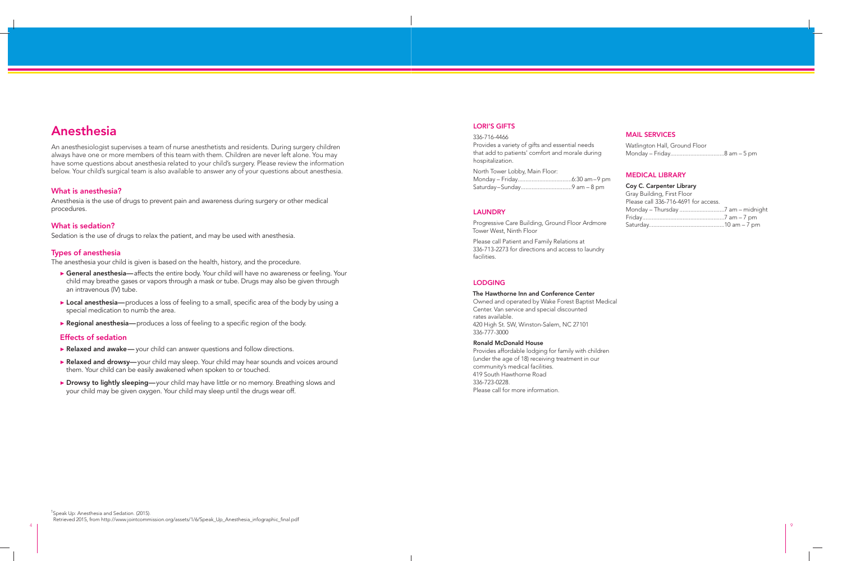# **Anesthesia**

An anesthesiologist supervises a team of nurse anesthetists and residents. During surgery children always have one or more members of this team with them. Children are never left alone. You may have some questions about anesthesia related to your child's surgery. Please review the information below. Your child's surgical team is also available to answer any of your questions about anesthesia.

- ▶ **General anesthesia—** affects the entire body. Your child will have no awareness or feeling. Your child may breathe gases or vapors through a mask or tube. Drugs may also be given through an intravenous (IV) tube.
- ▶ Local anesthesia— produces a loss of feeling to a small, specific area of the body by using a special medication to numb the area.
- ▶ **Regional anesthesia** produces a loss of feeling to a specific region of the body.

### **What is anesthesia?**

Anesthesia is the use of drugs to prevent pain and awareness during surgery or other medical procedures.

### **What is sedation?**

Sedation is the use of drugs to relax the patient, and may be used with anesthesia.

#### **Types of anesthesia**

The anesthesia your child is given is based on the health, history, and the procedure.

- ▶ **Relaxed and awake** your child can answer questions and follow directions.
- ▶ **Relaxed and drowsy**—your child may sleep. Your child may hear sounds and voices around them. Your child can be easily awakened when spoken to or touched.
- ▶ **Drowsy to lightly sleeping**—your child may have little or no memory. Breathing slows and your child may be given oxygen. Your child may sleep until the drugs wear off.

Provides a variety of gifts and essential nee that add to patients' comfort and morale o hospitalization.

Progressive Care Building, Ground Floor Ar Tower West, Ninth Floor

#### **Effects of sedation**

## **LORI'S GIFTS**

#### 336-716-4466

North Tower Lobby, Main Floor: Monday – Friday...................................6:30 am – 9 pm Saturday – Sunday .................................9 am – 8 pm

#### **LAUNDRY**

Please call Patient and Family Relations at 336-713-2273 for directions and access to laundry facilities.

#### **MAIL SERVICES**

| eds    | Watlington Hall, Ground Floor |
|--------|-------------------------------|
| during |                               |

#### **MEDICAL LIBRARY**

| ım–9 pm |                                      |  |
|---------|--------------------------------------|--|
| – 8 pm  | Coy C. Carpenter Library             |  |
|         | Gray Building, First Floor           |  |
|         | Please call 336-716-4691 for access. |  |
|         |                                      |  |
|         |                                      |  |
| rdmore  |                                      |  |

#### **LODGING**

# **The Hawthorne Inn and Conference Center**

Owned and operated by Wake Forest Baptist Medical Center. Van service and special discounted rates available. 420 High St. SW, Winston-Salem, NC 27101 336-777-3000

### **Ronald McDonald House**

Provides affordable lodging for family with children (under the age of 18) receiving treatment in our community's medical facilities. 419 South Hawthorne Road 336-723-0228. Please call for more information.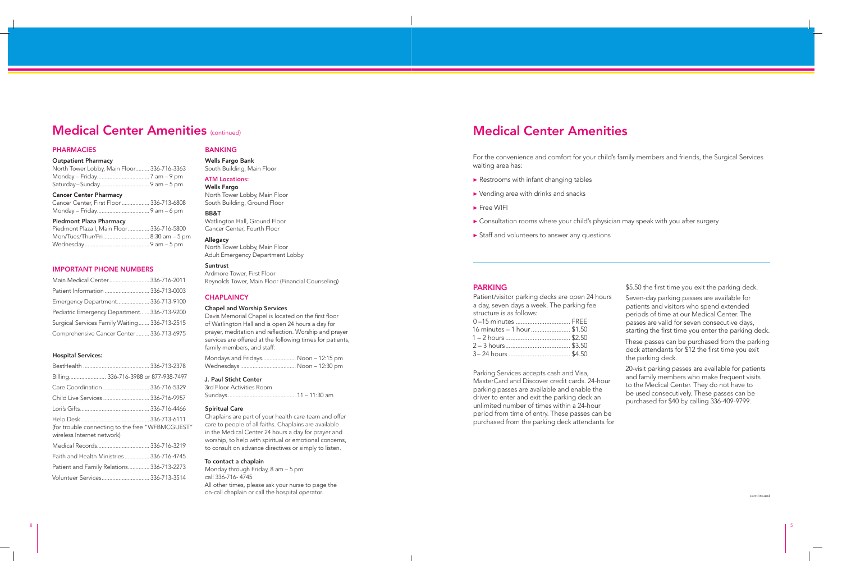# **Medical Center Amenities** (continued)

### **PHARMACIES**

#### **Outpatient Pharmacy**

| North Tower Lobby, Main Floor 336-716-3363 |  |
|--------------------------------------------|--|
|                                            |  |
|                                            |  |

#### **Cancer Center Pharmacy**

| Cancer Center, First Floor  336-713-6808 |  |
|------------------------------------------|--|
|                                          |  |

#### **Piedmont Plaza Pharmacy**

| Piedmont Plaza I, Main Floor 336-716-5800 |  |
|-------------------------------------------|--|
| Mon/Tues/Thur/Fri 8:30 am - 5 pm          |  |
|                                           |  |

#### **IMPORTANT PHONE NUMBERS**

| Main Medical Center  336-716-2011             |  |
|-----------------------------------------------|--|
| Patient Information  336-713-0003             |  |
| Emergency Department 336-713-9100             |  |
| Pediatric Emergency Department 336-713-9200   |  |
| Surgical Services Family Waiting 336-713-2515 |  |
| Comprehensive Cancer Center 336-713-6975      |  |

#### **Hospital Services:**

Davis Memorial Chapel is located on the first floor of Watlington Hall and is open 24 hours a day for prayer, meditation and reflection. Worship and prayer services are offered at the following times for patients, family members, and staff:

| Billing 336-716-3988 or 877-938-7497             |  |
|--------------------------------------------------|--|
| Care Coordination  336-716-5329                  |  |
| Child Live Services  336-716-9957                |  |
|                                                  |  |
| (for trouble connecting to the free "WFBMCGUEST" |  |
| wireless Internet network)                       |  |
| Medical Records 336-716-3219                     |  |
| Faith and Health Ministries  336-716-4745        |  |
| Patient and Family Relations 336-713-2273        |  |

- ▶ Restrooms with infant changing tables
- ▶ Vending area with drinks and snacks
- ▶ Free WIFI
- 
- ▶ Staff and volunteers to answer any questions

# **BANKING**

**Wells Fargo Bank** South Building, Main Floor

### **ATM Locations:**

**Wells Fargo** North Tower Lobby, Main Floor South Building, Ground Floor

#### **BB&T**

Watlington Hall, Ground Floor Cancer Center, Fourth Floor

### **Allegacy**

North Tower Lobby, Main Floor Adult Emergency Department Lobby

**Suntrust**

Ardmore Tower, First Floor Reynolds Tower, Main Floor (Financial Counseling)

> period from time of entry. These passes can be purchased from the parking deck attendants for

### **CHAPLAINCY**

#### **Chapel and Worship Services**

| Mondays and Fridays Noon - 12:15 pm |  |
|-------------------------------------|--|
|                                     |  |

#### **J. Paul Sticht Center**

3rd Floor Activities Room Sundays ............................................ 11 – 11:30 am

#### **Spiritual Care**

Chaplains are part of your health care team and offer care to people of all faiths. Chaplains are available in the Medical Center 24 hours a day for prayer and worship, to help with spiritual or emotional concerns, to consult on advance directives or simply to listen.

#### **To contact a chaplain**

Monday through Friday, 8 am – 5 pm: call 336-716- 4745 All other times, please ask your nurse to page the on-call chaplain or call the hospital operator.

For the convenience and comfort for your child's family members and friends, the Surgical Services waiting area has:

▶ Consultation rooms where your child's physician may speak with you after surgery

# **Medical Center Amenities**

| <b>PARKING</b>                                                                                                                                                                                                                                                                         | \$5.50 the first time you exit the parking deck.                                                                                                                                                                                             |
|----------------------------------------------------------------------------------------------------------------------------------------------------------------------------------------------------------------------------------------------------------------------------------------|----------------------------------------------------------------------------------------------------------------------------------------------------------------------------------------------------------------------------------------------|
| Patient/visitor parking decks are open 24 hours<br>a day, seven days a week. The parking fee<br>structure is as follows:<br>0-15 minutes  FREE<br>16 minutes - 1 hour  \$1.50                                                                                                          | Seven-day parking passes are available for<br>patients and visitors who spend extended<br>periods of time at our Medical Center. The<br>passes are valid for seven consecutive days,<br>starting the first time you enter the parking deck.  |
|                                                                                                                                                                                                                                                                                        | These passes can be purchased from the parking<br>deck attendants for \$12 the first time you exit<br>the parking deck.                                                                                                                      |
| Parking Services accepts cash and Visa,<br>MasterCard and Discover credit cards. 24-hour<br>parking passes are available and enable the<br>driver to enter and exit the parking deck an<br>unlimited number of times within a 24-hour<br>pariod from time of entry These passes can be | 20-visit parking passes are available for patients<br>and family members who make frequent visits<br>to the Medical Center. They do not have to<br>be used consecutively. These passes can be<br>purchased for \$40 by calling 336-409-9799. |

continued